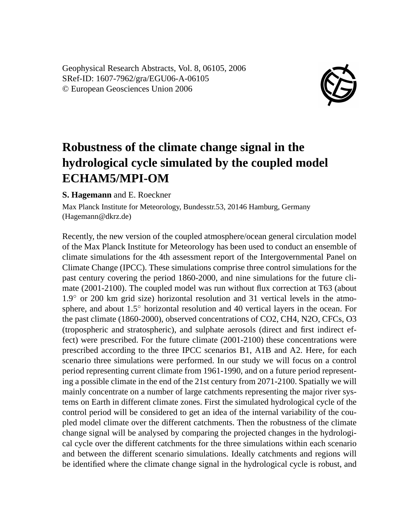Geophysical Research Abstracts, Vol. 8, 06105, 2006 SRef-ID: 1607-7962/gra/EGU06-A-06105 © European Geosciences Union 2006



## **Robustness of the climate change signal in the hydrological cycle simulated by the coupled model ECHAM5/MPI-OM**

## **S. Hagemann** and E. Roeckner

Max Planck Institute for Meteorology, Bundesstr.53, 20146 Hamburg, Germany (Hagemann@dkrz.de)

Recently, the new version of the coupled atmosphere/ocean general circulation model of the Max Planck Institute for Meteorology has been used to conduct an ensemble of climate simulations for the 4th assessment report of the Intergovernmental Panel on Climate Change (IPCC). These simulations comprise three control simulations for the past century covering the period 1860-2000, and nine simulations for the future climate (2001-2100). The coupled model was run without flux correction at T63 (about 1.9◦ or 200 km grid size) horizontal resolution and 31 vertical levels in the atmosphere, and about 1.5◦ horizontal resolution and 40 vertical layers in the ocean. For the past climate (1860-2000), observed concentrations of CO2, CH4, N2O, CFCs, O3 (tropospheric and stratospheric), and sulphate aerosols (direct and first indirect effect) were prescribed. For the future climate (2001-2100) these concentrations were prescribed according to the three IPCC scenarios B1, A1B and A2. Here, for each scenario three simulations were performed. In our study we will focus on a control period representing current climate from 1961-1990, and on a future period representing a possible climate in the end of the 21st century from 2071-2100. Spatially we will mainly concentrate on a number of large catchments representing the major river systems on Earth in different climate zones. First the simulated hydrological cycle of the control period will be considered to get an idea of the internal variability of the coupled model climate over the different catchments. Then the robustness of the climate change signal will be analysed by comparing the projected changes in the hydrological cycle over the different catchments for the three simulations within each scenario and between the different scenario simulations. Ideally catchments and regions will be identified where the climate change signal in the hydrological cycle is robust, and